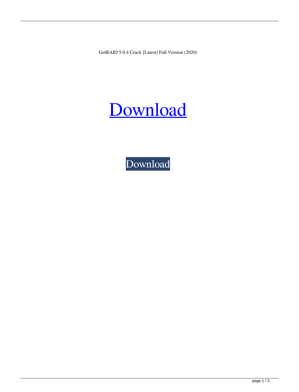GetRAID 5.0.4 Crack [Latest] Full Version (2020)

## [Download](https://tinurll.com/2kzkt9)

[Download](https://tinurll.com/2kzkt9)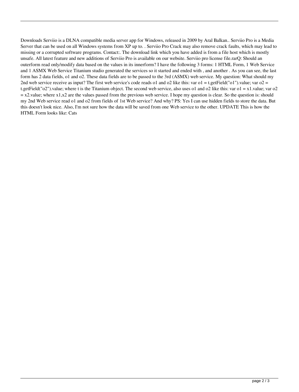Downloads Serviio is a DLNA compatible media server app for Windows, released in 2009 by Aral Balkan.. Serviio Pro is a Media Server that can be used on all Windows systems from XP up to. . Serviio Pro Crack may also remove crack faults, which may lead to missing or a corrupted software programs. Contact:. The download link which you have added is from a file host which is mostly unsafe. All latest feature and new additions of Serviio Pro is available on our website. Serviio pro license file.rarQ: Should an outerform read only/modify data based on the values in its innerform? I have the following 3 forms: 1 HTML Form, 1 Web Service and 1 ASMX Web Service Titanium studio generated the services so it started and ended with , and another . As you can see, the last form has 2 data fields, o1 and o2. These data fields are to be passed to the 3rd (ASMX) web service. My question: What should my 2nd web service receive as input? The first web service's code reads o1 and o2 like this: var o1 = t.getField("o1").value; var o2 = t.getField(" $o2$ ").value; where t is the Titanium object. The second web service, also uses o1 and  $o2$  like this: var  $o1 = x1$ .value; var  $o2$  $= x2$ , value; where  $x1, x2$  are the values passed from the previous web service. I hope my question is clear. So the question is: should my 2nd Web service read o1 and o2 from fields of 1st Web service? And why? PS: Yes I can use hidden fields to store the data. But this doesn't look nice. Also, I'm not sure how the data will be saved from one Web service to the other. UPDATE This is how the HTML Form looks like: Cats